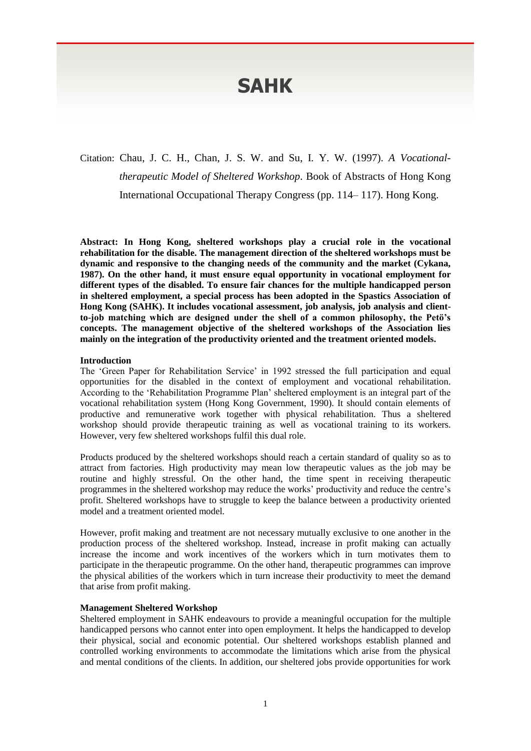# **SAHK**

# Citation: Chau, J. C. H., Chan, J. S. W. and Su, I. Y. W. (1997). *A Vocationaltherapeutic Model of Sheltered Workshop*. Book of Abstracts of Hong Kong International Occupational Therapy Congress (pp. 114– 117). Hong Kong.

**Abstract: In Hong Kong, sheltered workshops play a crucial role in the vocational rehabilitation for the disable. The management direction of the sheltered workshops must be dynamic and responsive to the changing needs of the community and the market (Cykana, 1987). On the other hand, it must ensure equal opportunity in vocational employment for different types of the disabled. To ensure fair chances for the multiple handicapped person in sheltered employment, a special process has been adopted in the Spastics Association of Hong Kong (SAHK). It includes vocational assessment, job analysis, job analysis and clientto-job matching which are designed under the shell of a common philosophy, the Petö's concepts. The management objective of the sheltered workshops of the Association lies mainly on the integration of the productivity oriented and the treatment oriented models.**

#### **Introduction**

The 'Green Paper for Rehabilitation Service' in 1992 stressed the full participation and equal opportunities for the disabled in the context of employment and vocational rehabilitation. According to the 'Rehabilitation Programme Plan' sheltered employment is an integral part of the vocational rehabilitation system (Hong Kong Government, 1990). It should contain elements of productive and remunerative work together with physical rehabilitation. Thus a sheltered workshop should provide therapeutic training as well as vocational training to its workers. However, very few sheltered workshops fulfil this dual role.

Products produced by the sheltered workshops should reach a certain standard of quality so as to attract from factories. High productivity may mean low therapeutic values as the job may be routine and highly stressful. On the other hand, the time spent in receiving therapeutic programmes in the sheltered workshop may reduce the works' productivity and reduce the centre's profit. Sheltered workshops have to struggle to keep the balance between a productivity oriented model and a treatment oriented model.

However, profit making and treatment are not necessary mutually exclusive to one another in the production process of the sheltered workshop. Instead, increase in profit making can actually increase the income and work incentives of the workers which in turn motivates them to participate in the therapeutic programme. On the other hand, therapeutic programmes can improve the physical abilities of the workers which in turn increase their productivity to meet the demand that arise from profit making.

#### **Management Sheltered Workshop**

Sheltered employment in SAHK endeavours to provide a meaningful occupation for the multiple handicapped persons who cannot enter into open employment. It helps the handicapped to develop their physical, social and economic potential. Our sheltered workshops establish planned and controlled working environments to accommodate the limitations which arise from the physical and mental conditions of the clients. In addition, our sheltered jobs provide opportunities for work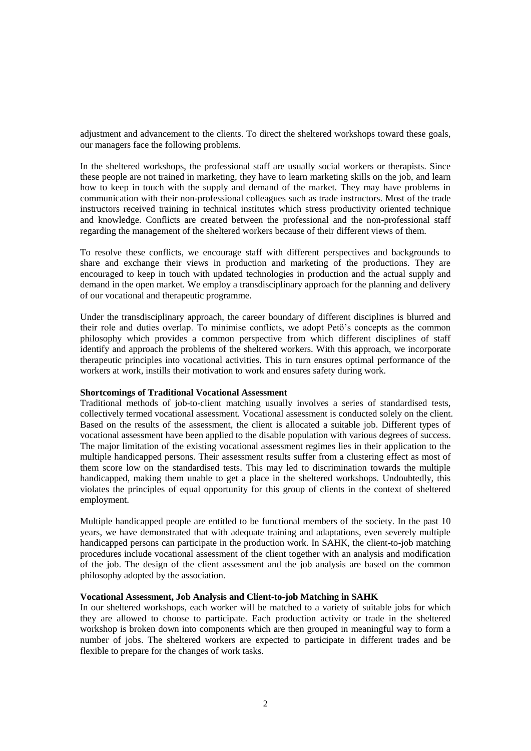adjustment and advancement to the clients. To direct the sheltered workshops toward these goals, our managers face the following problems.

In the sheltered workshops, the professional staff are usually social workers or therapists. Since these people are not trained in marketing, they have to learn marketing skills on the job, and learn how to keep in touch with the supply and demand of the market. They may have problems in communication with their non-professional colleagues such as trade instructors. Most of the trade instructors received training in technical institutes which stress productivity oriented technique and knowledge. Conflicts are created between the professional and the non-professional staff regarding the management of the sheltered workers because of their different views of them.

To resolve these conflicts, we encourage staff with different perspectives and backgrounds to share and exchange their views in production and marketing of the productions. They are encouraged to keep in touch with updated technologies in production and the actual supply and demand in the open market. We employ a transdisciplinary approach for the planning and delivery of our vocational and therapeutic programme.

Under the transdisciplinary approach, the career boundary of different disciplines is blurred and their role and duties overlap. To minimise conflicts, we adopt Petö's concepts as the common philosophy which provides a common perspective from which different disciplines of staff identify and approach the problems of the sheltered workers. With this approach, we incorporate therapeutic principles into vocational activities. This in turn ensures optimal performance of the workers at work, instills their motivation to work and ensures safety during work.

#### **Shortcomings of Traditional Vocational Assessment**

Traditional methods of job-to-client matching usually involves a series of standardised tests, collectively termed vocational assessment. Vocational assessment is conducted solely on the client. Based on the results of the assessment, the client is allocated a suitable job. Different types of vocational assessment have been applied to the disable population with various degrees of success. The major limitation of the existing vocational assessment regimes lies in their application to the multiple handicapped persons. Their assessment results suffer from a clustering effect as most of them score low on the standardised tests. This may led to discrimination towards the multiple handicapped, making them unable to get a place in the sheltered workshops. Undoubtedly, this violates the principles of equal opportunity for this group of clients in the context of sheltered employment.

Multiple handicapped people are entitled to be functional members of the society. In the past 10 years, we have demonstrated that with adequate training and adaptations, even severely multiple handicapped persons can participate in the production work. In SAHK, the client-to-job matching procedures include vocational assessment of the client together with an analysis and modification of the job. The design of the client assessment and the job analysis are based on the common philosophy adopted by the association.

#### **Vocational Assessment, Job Analysis and Client-to-job Matching in SAHK**

In our sheltered workshops, each worker will be matched to a variety of suitable jobs for which they are allowed to choose to participate. Each production activity or trade in the sheltered workshop is broken down into components which are then grouped in meaningful way to form a number of jobs. The sheltered workers are expected to participate in different trades and be flexible to prepare for the changes of work tasks.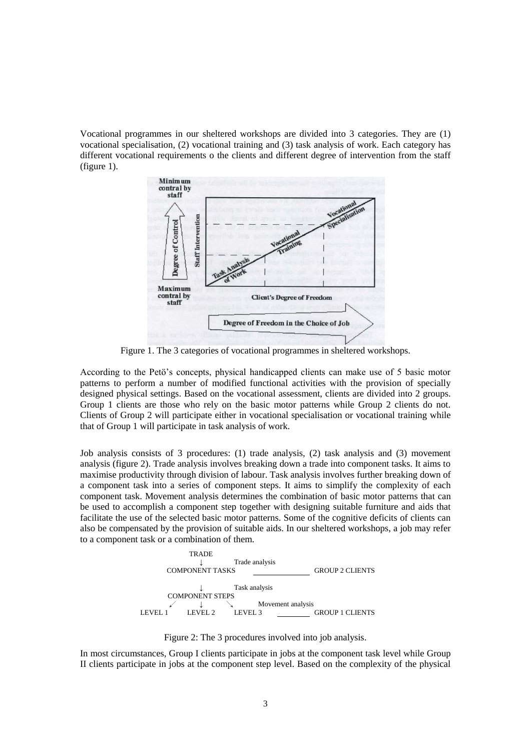Vocational programmes in our sheltered workshops are divided into 3 categories. They are (1) vocational specialisation, (2) vocational training and (3) task analysis of work. Each category has different vocational requirements o the clients and different degree of intervention from the staff (figure 1).



Figure 1. The 3 categories of vocational programmes in sheltered workshops.

According to the Petö's concepts, physical handicapped clients can make use of 5 basic motor patterns to perform a number of modified functional activities with the provision of specially designed physical settings. Based on the vocational assessment, clients are divided into 2 groups. Group 1 clients are those who rely on the basic motor patterns while Group 2 clients do not. Clients of Group 2 will participate either in vocational specialisation or vocational training while that of Group 1 will participate in task analysis of work.

Job analysis consists of 3 procedures: (1) trade analysis, (2) task analysis and (3) movement analysis (figure 2). Trade analysis involves breaking down a trade into component tasks. It aims to maximise productivity through division of labour. Task analysis involves further breaking down of a component task into a series of component steps. It aims to simplify the complexity of each component task. Movement analysis determines the combination of basic motor patterns that can be used to accomplish a component step together with designing suitable furniture and aids that facilitate the use of the selected basic motor patterns. Some of the cognitive deficits of clients can also be compensated by the provision of suitable aids. In our sheltered workshops, a job may refer to a component task or a combination of them.



Figure 2: The 3 procedures involved into job analysis.

In most circumstances, Group I clients participate in jobs at the component task level while Group II clients participate in jobs at the component step level. Based on the complexity of the physical